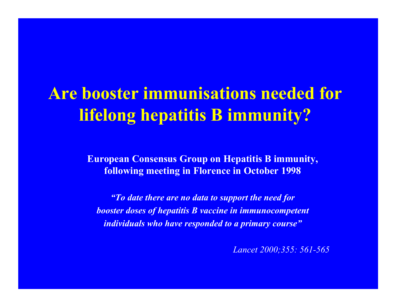## **Are booster immunisations needed for lifelong hepatitis B immunity?**

**European Consensus Group on Hepatitis B immunity, following meeting in Florence in October 1998**

*"To date there are no data to support the need for booster doses of hepatitis B vaccine in immunocompetent individuals who have responded to a primary course"*

*Lancet 2000;355: 561-565*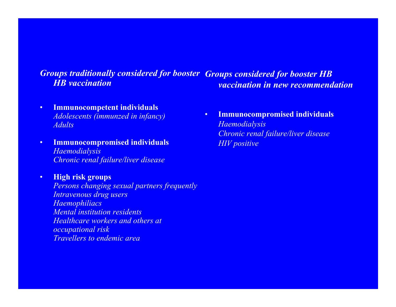#### *Groups traditionally considered for booster Groups considered for booster HB HB vaccinationvaccination in new recommendation*

- • **Immunocompetent individuals** *Adolescents (immunzed in infancy) Adults*
- • **Immunocompromised individuals** *Haemodialysis Chronic renal failure/liver disease*

•

 **High risk groups** *Persons changing sexual partners frequently Intravenous drug users Haemophiliacs Mental institution residents Healthcare workers and others atoccupational risk Travellers to endemic area*

• **Immunocompromised individuals** *Haemodialysis Chronic renal failure/liver disease HIV positive*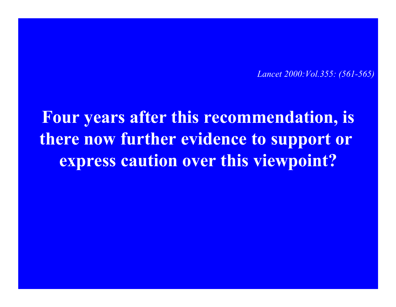*Lancet 2000:Vol.355: (561-565)*

**Four years after this recommendation, is there now further evidence to support or express caution over this viewpoint?**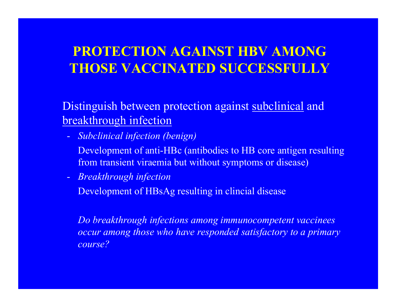### **PROTECTION AGAINST HBV AMONG THOSE VACCINATED SUCCESSFULLY**

Distinguish between protection against subclinical and breakthrough infection

- - *Subclinical infection (benign)*
	- Development of anti-HBc (antibodies to HB core antigen resulting from transient viraemia but without symptoms or disease)
- *Breakthrough infection*

Development of HBsAg resulting in clincial disease

*Do breakthrough infections among immunocompetent vaccinees occur among those who have responded satisfactory to a primary course?*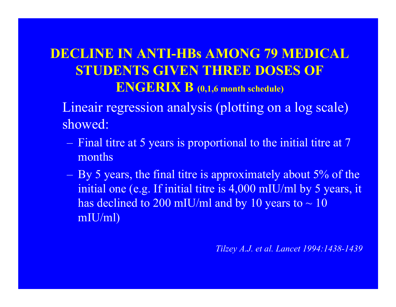### **DECLINE IN ANTI-HBs AMONG 79 MEDICAL STUDENTS GIVEN THREE DOSES OF ENGERIX B (0,1,6 month schedule)**

- Lineair regression analysis (plotting on a log scale) showed:
	- Final titre at 5 years is proportional to the initial titre at 7 months
	- By 5 years, the final titre is approximately about 5% of the initial one (e.g. If initial titre is 4,000 mIU/ml by 5 years, it has declined to 200 mIU/ml and by 10 years to  $\sim$  10 mIU/ml)

*Tilzey A.J. et al. Lancet 1994:1438-1439*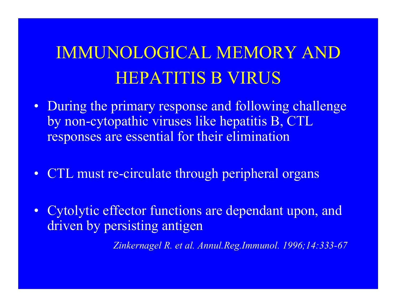# IMMUNOLOGICAL MEMORY AND HEPATITIS B VIRUS

- During the primary response and following challenge by non-cytopathic viruses like hepatitis B, CTL responses are essential for their elimination
- CTL must re-circulate through peripheral organs
- Cytolytic effector functions are dependant upon, and driven by persisting antigen

*Zinkernagel R. et al. Annul.Reg.Immunol. 1996;14:333-67*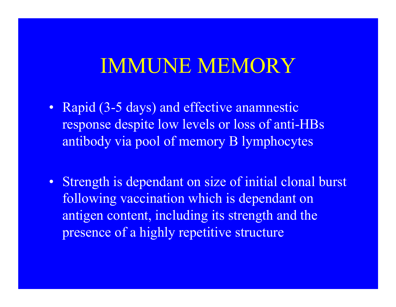## IMMUNE MEMORY

- Rapid (3-5 days) and effective anamnestic response despite low levels or loss of anti-HBs antibody via pool of memory B lymphocytes
- •Strength is dependant on size of initial clonal burst following vaccination which is dependant on antigen content, including its strength and the presence of a highly repetitive structure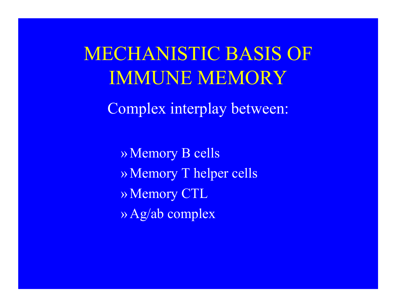MECHANISTIC BASIS OF IMMUNE MEMORY

Complex interplay between:

» Memory B cells » Memory T helper cells » Memory CTL » Ag/ab complex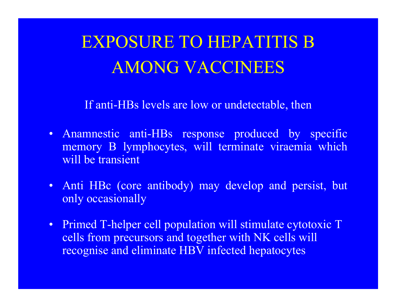EXPOSURE TO HEPATITIS B AMONG VACCINEES

If anti-HBs levels are low or undetectable, then

- Anamnestic anti-HBs response produced by specific memory B lymphocytes, will terminate viraemia which will be transient
- Anti HBc (core antibody) may develop and persist, but only occasionally
- Primed T-helper cell population will stimulate cytotoxic T cells from precursors and together with NK cells will recognise and eliminate HBV infected hepatocytes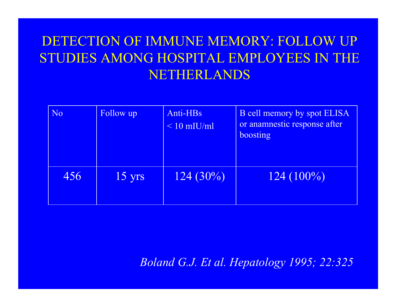### DETECTION OF IMMUNE MEMORY: FOLLOW UP STUDIES AMONG HOSPITAL EMPLOYEES IN THE NETHERLANDS

| N <sub>o</sub> | Follow up        | Anti-HBs<br>$< 10$ mIU/ml | <b>B</b> cell memory by spot ELISA<br>or anamnestic response after<br>boosting |
|----------------|------------------|---------------------------|--------------------------------------------------------------------------------|
| 456            | $15 \text{ yrs}$ | $124(30\%)$               | $124(100\%)$                                                                   |

*Boland G.J. Et al. Hepatology 1995; 22:325*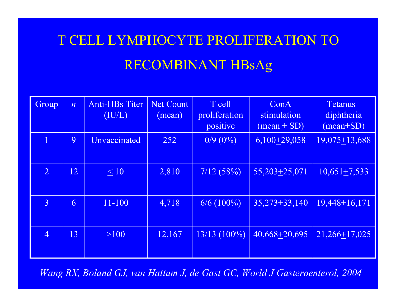### T CELL LYMPHOCYTE PROLIFERATION TO RECOMBINANT HBsAg

| Group          | $\overline{n}$ | <b>Anti-HBs Titer</b><br>(IU/L) | <b>Net Count</b><br>(mean) | T cell<br>proliferation<br>positive | ConA<br>stimulation<br>$(mean + SD)$ | Tetanus+<br>diphtheria<br>$(mean+SD)$ |
|----------------|----------------|---------------------------------|----------------------------|-------------------------------------|--------------------------------------|---------------------------------------|
|                | 9              | <b>Unvaccinated</b>             | 252                        | $0/9(0\%)$                          | $6,100+29,058$                       | $19,075 \pm 13,688$                   |
| $\overline{2}$ | 12             | $\leq 10$                       | 2,810                      | 7/12(58%)                           | $55,203+25,071$                      | $10,651 + 7,533$                      |
| $\overline{3}$ | 6              | $11 - 100$                      | 4,718                      | $6/6$ (100%)                        | $35,273+33,140$                      | $19,448+16,171$                       |
| $\overline{4}$ | 13             | $>100$                          | 12,167                     | $13/13(100\%)$                      | 40,668+20,695                        | $21,266+17,025$                       |

*Wang RX, Boland GJ, van Hattum J, de Gast GC, World J Gasteroenterol, 2004*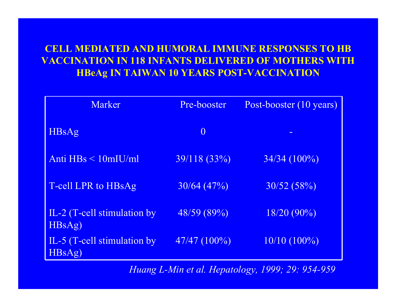### **CELL MEDIATED AND HUMORAL IMMUNE RESPONSES TO HB VACCINATION IN 118 INFANTS DELIVERED OF MOTHERS WITHHBeAg I N TAIWAN 10 YEARS P OST-VACCINATION**

| Marker                               | Pre-booster    | Post-booster (10 years) |
|--------------------------------------|----------------|-------------------------|
| <b>HBsAg</b>                         | $\overline{0}$ |                         |
| Anti $HBs < 10$ mIU/ml               | 39/118 (33%)   | $34/34(100\%)$          |
| T-cell LPR to HBsAg                  | 30/64(47%)     | 30/52(58%)              |
| IL-2 (T-cell stimulation by<br>HBSAg | 48/59(89%)     | $18/20(90\%)$           |
| IL-5 (T-cell stimulation by<br>HBsAg | $47/47(100\%)$ | $10/10(100\%)$          |

*Huang L-Min et al. Hepatology, 1999; 29: 954-959*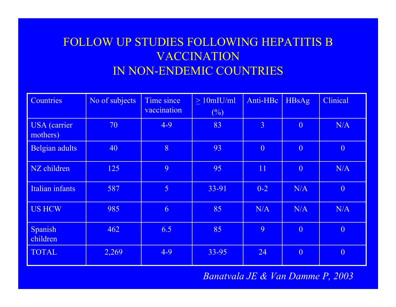### FOLLOW UP STUDIES FOLLOWING HEPATITIS B VACCINATION IN NON-ENDEMIC COUNTRIES

| Countries                       | No of subjects | Time since<br>vaccination | $>10$ mIU/ml<br>(%) | Anti-HBc       | <b>HBsAg</b>   | Clinical       |
|---------------------------------|----------------|---------------------------|---------------------|----------------|----------------|----------------|
| <b>USA</b> (carrier<br>mothers) | 70             | $4-9$                     | 83                  | $\overline{3}$ | $\overline{0}$ | N/A            |
| Belgian adults                  | 40             | 8                         | 93                  | $\overline{0}$ | $\overline{0}$ | $\overline{0}$ |
| NZ children                     | 125            | 9                         | 95                  | 11             | $\overline{0}$ | N/A            |
| Italian infants                 | 587            | $\overline{5}$            | 33-91               | $0 - 2$        | N/A            | $\overline{0}$ |
| <b>US HCW</b>                   | 985            | 6                         | 85                  | N/A            | N/A            | N/A            |
| Spanish<br>children             | 462            | 6.5                       | 85                  | 9              | $\overline{0}$ | $\theta$       |
| <b>TOTAL</b>                    | 2,269          | $4 - 9$                   | 33-95               | 24             | $\overline{0}$ | $\theta$       |

*Banatvala JE & Van Damme P, 2003*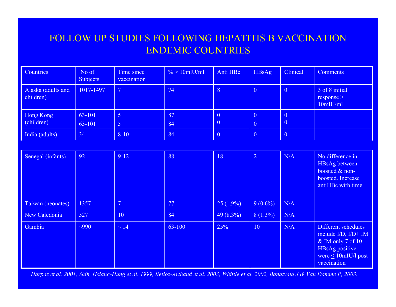#### FOLLOW UP STUDIES FOLLOWING HEPATITIS B VACCINATION ENDEMIC COUNT RIES

| <b>Countries</b>                | No of<br><b>Subjects</b> | Time since<br>vaccination    | $\frac{9}{6}$ > 10mlU/ml | Anti HBc                                   | <b>HBsAg</b>                     | Clinical             | Comments                                         |
|---------------------------------|--------------------------|------------------------------|--------------------------|--------------------------------------------|----------------------------------|----------------------|--------------------------------------------------|
| Alaska (adults and<br>children) | 1017-1497                | $\sqrt{7}$                   | 74                       | 8                                          | $\overline{\ }$ 0                | $\overline{0}$       | 3 of 8 initial<br>response $\geq$<br>$10m$ IU/ml |
| Hong Kong<br>(children)         | 63-101<br>63-101         | $\overline{5}$<br>$\sqrt{5}$ | 87<br>84                 | $\overline{0}$<br>$\overline{\phantom{0}}$ | $\overline{0}$<br>$\overline{0}$ | $\overline{0}$<br> 0 |                                                  |
| India (adults)                  | 34                       | $8 - 10$                     | 84                       | $\overline{0}$                             | $\overline{\ }$ 0                | $\overline{0}$       |                                                  |

| Senegal (infants) | 92     | $9 - 12$       | 88     | 18          | $\overline{2}$ | N/A | No difference in<br>HBsAg between<br>boosted & non-<br>boosted. Increase<br>antiHBc with time                                      |
|-------------------|--------|----------------|--------|-------------|----------------|-----|------------------------------------------------------------------------------------------------------------------------------------|
| Taiwan (neonates) | 1357   | $\overline{7}$ | 77     | $25(1.9\%)$ | $9(0.6\%)$     | N/A |                                                                                                                                    |
| New Caledonia     | 527    | 10             | 84     | $49(8.3\%)$ | $8(1.3\%)$     | N/A |                                                                                                                                    |
| Gambia            | $-990$ | $\sim 14$      | 63-100 | 25%         | 10             | N/A | Different schedules<br>include $I/D$ , $I/D+IM$<br>& IM only 7 of 10<br>HBsAg positive<br>were $\leq 10$ mIU/l post<br>vaccination |

*Harpaz et al. 2001, Shih, Hsiang-Hung et al. 1999, Belioz-Arthaud et al. 2003, Whittle et al. 2002, Banatvala J & Van Damme P, 2003.*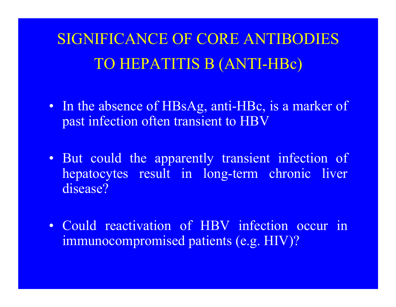## SIGNIFICANCE OF CORE ANTIBODIES TO HEPATITIS B (ANTI-HBc)

- In the absence of HBsAg, anti-HBc, is a marker of past infection often transient to HBV
- But could the apparently transient infection of hepatocytes result in long-term chronic liver disease?
- Could reactivation of HBV infection occur in immunocompromised patients (e.g. HIV)?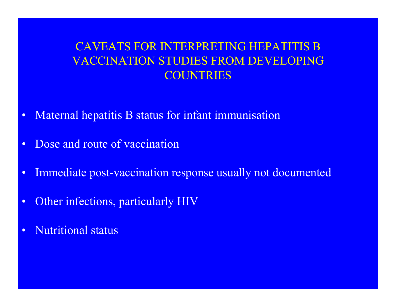### CAVEATS FOR INTERPRETING HEPATITIS B VACCINATION STUDIES FROM DEVELOPING **COUNTRIES**

- $\bullet$ Maternal hepatitis B status for infant immunisation
- •Dose and route of vaccination
- •Immediate post-vaccination response usually not documented
- $\bullet$ Other infections, particularly HIV
- $\bullet$ Nutritional status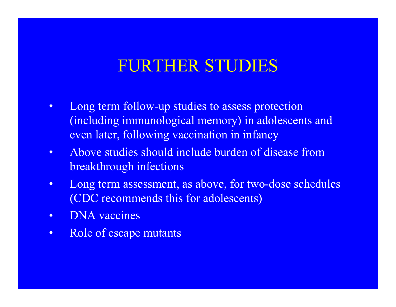### FURTHER STUDIES

- $\bullet$ Long term follow-up studies to assess protection (including immunological memory) in adolescents and even later, following vaccination in infancy
- $\bullet$ Above studies should include burden of disease from breakthrough infections
- •Long term assessment, as above, for two-dose schedules (CDC recommends this for adolescents)
- $\bullet$ DNA vaccines
- •Role of escape mutants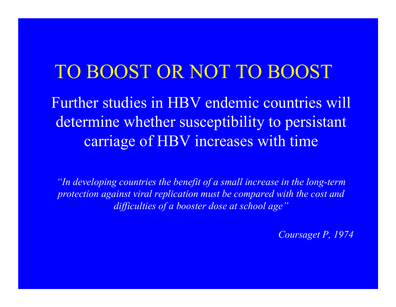## TO BOOST OR NOT TO BOOST

Further studies in HBV endemic countries will determine whether susceptibility to persistant carriage of HBV increases with time

*"In developing countries the benefit of a small increase in the long-term protection against viral replication must be compared with the cost and difficulties of a booster dose at school age"*

*Coursaget P, 1974*